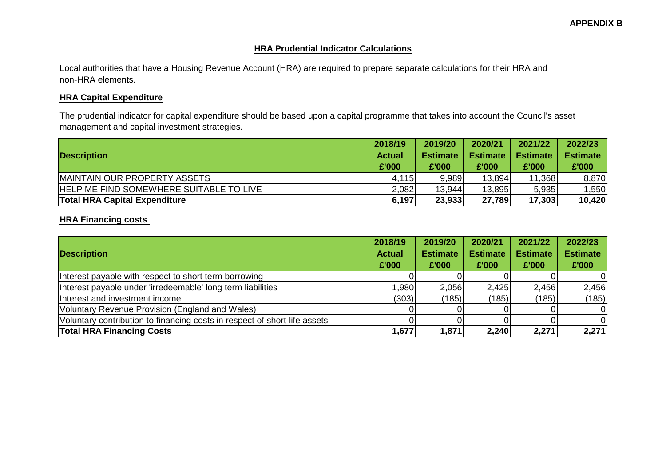#### **HRA Prudential Indicator Calculations**

Local authorities that have a Housing Revenue Account (HRA) are required to prepare separate calculations for their HRA and non-HRA elements.

#### **HRA Capital Expenditure**

The prudential indicator for capital expenditure should be based upon a capital programme that takes into account the Council's asset management and capital investment strategies.

|                                                | 2018/19                | 2019/20                  | 2020/21                  | 2021/22                  | 2022/23                  |
|------------------------------------------------|------------------------|--------------------------|--------------------------|--------------------------|--------------------------|
| <b>Description</b>                             | <b>Actual</b><br>£'000 | <b>Estimate</b><br>£'000 | <b>Estimate</b><br>£'000 | <b>Estimate</b><br>£'000 | <b>Estimate</b><br>£'000 |
|                                                |                        |                          |                          |                          |                          |
| <b>IMAINTAIN OUR PROPERTY ASSETS</b>           | 4,115                  | 9.989                    | 13,894                   | 11,368                   | 8,870                    |
| <b>HELP ME FIND SOMEWHERE SUITABLE TO LIVE</b> | 2,082                  | 13,944                   | 13,895                   | 5,935                    | 1,550                    |
| <b>Total HRA Capital Expenditure</b>           | 6,197                  | 23,933                   | 27,789                   | 17,303                   | 10,420                   |

### **HRA Financing costs**

| <b>Description</b>                                                        | 2018/19<br><b>Actual</b><br>£'000 | 2019/20<br><b>Estimate</b><br>£'000 | 2020/21<br><b>Estimate</b><br>£'000 | 2021/22<br><b>Estimate</b><br>£'000 | 2022/23<br><b>Estimate</b><br>£'000 |
|---------------------------------------------------------------------------|-----------------------------------|-------------------------------------|-------------------------------------|-------------------------------------|-------------------------------------|
| Interest payable with respect to short term borrowing                     |                                   |                                     |                                     |                                     |                                     |
| Interest payable under 'irredeemable' long term liabilities               | .980                              | 2,056                               | 2,425                               | 2,456                               | 2,456                               |
| Interest and investment income                                            | (303)                             | (185)                               | (185)                               | (185)                               | (185)                               |
| Voluntary Revenue Provision (England and Wales)                           |                                   |                                     |                                     |                                     | ΩI                                  |
| Voluntary contribution to financing costs in respect of short-life assets |                                   |                                     |                                     |                                     |                                     |
| <b>Total HRA Financing Costs</b>                                          | 1,677                             | 1,871                               | 2,240                               | 2,271                               | 2,271                               |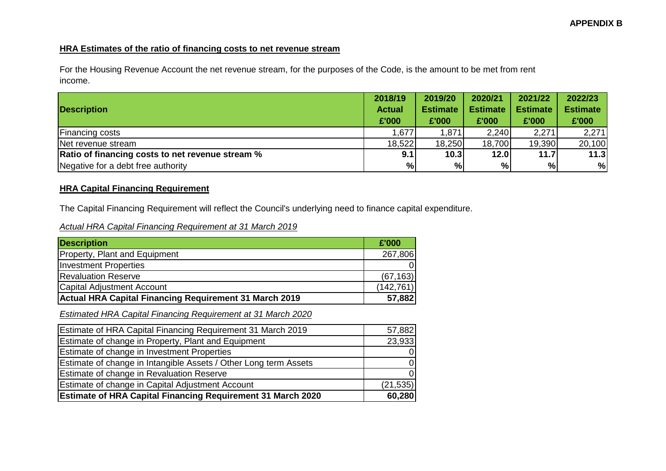# **HRA Estimates of the ratio of financing costs to net revenue stream**

For the Housing Revenue Account the net revenue stream, for the purposes of the Code, is the amount to be met from rent income.

|                                                         | 2018/19       | 2019/20         | 2020/21         | 2021/22         | 2022/23         |
|---------------------------------------------------------|---------------|-----------------|-----------------|-----------------|-----------------|
| <b>Description</b>                                      | <b>Actual</b> | <b>Estimate</b> | <b>Estimate</b> | <b>Estimate</b> | <b>Estimate</b> |
|                                                         | £'000         | £'000           | £'000           | £'000           | £'000           |
| <b>Financing costs</b>                                  | 1,677         | 1,871           | 2,240           | 2,271           | 2,271           |
| Net revenue stream                                      | 18,522        | 18,250          | 18,700          | 19,390          | 20,100          |
| <b>Ratio of financing costs to net revenue stream %</b> | 9.1           | 10.3            | 12.0            | 11.7            | 11.3            |
| Negative for a debt free authority                      | %             | $\%$            | %               | %               | %               |

# **HRA Capital Financing Requirement**

The Capital Financing Requirement will reflect the Council's underlying need to finance capital expenditure.

| Actual HRA Capital Financing Requirement at 31 March 2019 |
|-----------------------------------------------------------|
|-----------------------------------------------------------|

| <b>Description</b>                                     | £'000      |
|--------------------------------------------------------|------------|
| Property, Plant and Equipment                          | 267,806    |
| <b>Investment Properties</b>                           |            |
| <b>Revaluation Reserve</b>                             | (67, 163)  |
| <b>Capital Adjustment Account</b>                      | (142, 761) |
| Actual HRA Capital Financing Requirement 31 March 2019 | 57,882     |

*Estimated HRA Capital Financing Requirement at 31 March 2020*

| <b>Estimate of HRA Capital Financing Requirement 31 March 2019</b> | 57,882    |
|--------------------------------------------------------------------|-----------|
| Estimate of change in Property, Plant and Equipment                | 23,933    |
| Estimate of change in Investment Properties                        | $\Omega$  |
| Estimate of change in Intangible Assets / Other Long term Assets   | $\Omega$  |
| <b>Estimate of change in Revaluation Reserve</b>                   | $\Omega$  |
| Estimate of change in Capital Adjustment Account                   | (21, 535) |
| <b>Estimate of HRA Capital Financing Requirement 31 March 2020</b> | 60,280    |